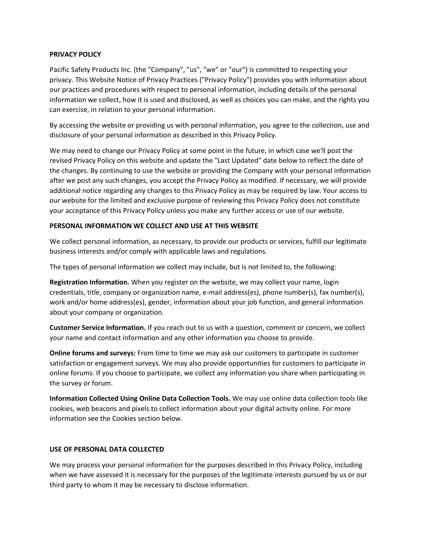#### **PRIVACY POLICY**

Pacific Safety Products Inc. (the "Company", "us", "we" or "our") is committed to respecting your privacy. This Website Notice of Privacy Practices ("Privacy Policy") provides you with information about our practices and procedures with respect to personal information, including details of the personal information we collect, how it is used and disclosed, as well as choices you can make, and the rights you can exercise, in relation to your personal information.

By accessing the website or providing us with personal information, you agree to the collection, use and disclosure of your personal information as described in this Privacy Policy.

We may need to change our Privacy Policy at some point in the future, in which case we'll post the revised Privacy Policy on this website and update the "Last Updated" date below to reflect the date of the changes. By continuing to use the website or providing the Company with your personal information after we post any such changes, you accept the Privacy Policy as modified. If necessary, we will provide additional notice regarding any changes to this Privacy Policy as may be required by law. Your access to our website for the limited and exclusive purpose of reviewing this Privacy Policy does not constitute your acceptance of this Privacy Policy unless you make any further access or use of our website.

#### **PERSONAL INFORMATION WE COLLECT AND USE AT THIS WEBSITE**

We collect personal information, as necessary, to provide our products or services, fulfill our legitimate business interests and/or comply with applicable laws and regulations.

The types of personal information we collect may include, but is not limited to, the following:

**Registration Information.** When you register on the website, we may collect your name, login credentials, title, company or organization name, e-mail address(es), phone number(s), fax number(s), work and/or home address(es), gender, information about your job function, and general information about your company or organization.

**Customer Service Information.** If you reach out to us with a question, comment or concern, we collect your name and contact information and any other information you choose to provide.

**Online forums and surveys:** From time to time we may ask our customers to participate in customer satisfaction or engagement surveys. We may also provide opportunities for customers to participate in online forums. If you choose to participate, we collect any information you share when participating in the survey or forum.

**Information Collected Using Online Data Collection Tools.** We may use online data collection tools like cookies, web beacons and pixels to collect information about your digital activity online. For more information see the Cookies section below.

#### **USE OF PERSONAL DATA COLLECTED**

We may process your personal information for the purposes described in this Privacy Policy, including when we have assessed it is necessary for the purposes of the legitimate interests pursued by us or our third party to whom it may be necessary to disclose information.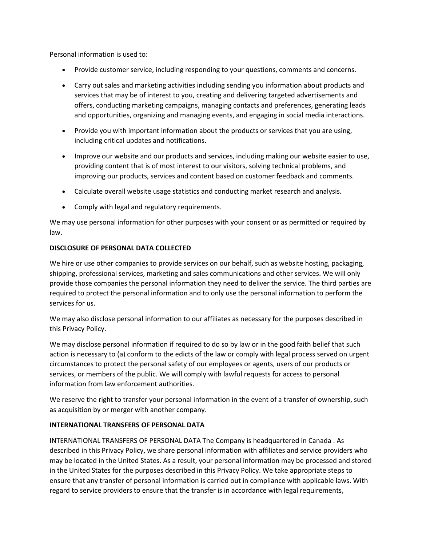Personal information is used to:

- Provide customer service, including responding to your questions, comments and concerns.
- Carry out sales and marketing activities including sending you information about products and services that may be of interest to you, creating and delivering targeted advertisements and offers, conducting marketing campaigns, managing contacts and preferences, generating leads and opportunities, organizing and managing events, and engaging in social media interactions.
- Provide you with important information about the products or services that you are using, including critical updates and notifications.
- Improve our website and our products and services, including making our website easier to use, providing content that is of most interest to our visitors, solving technical problems, and improving our products, services and content based on customer feedback and comments.
- Calculate overall website usage statistics and conducting market research and analysis.
- Comply with legal and regulatory requirements.

We may use personal information for other purposes with your consent or as permitted or required by law.

# **DISCLOSURE OF PERSONAL DATA COLLECTED**

We hire or use other companies to provide services on our behalf, such as website hosting, packaging, shipping, professional services, marketing and sales communications and other services. We will only provide those companies the personal information they need to deliver the service. The third parties are required to protect the personal information and to only use the personal information to perform the services for us.

We may also disclose personal information to our affiliates as necessary for the purposes described in this Privacy Policy.

We may disclose personal information if required to do so by law or in the good faith belief that such action is necessary to (a) conform to the edicts of the law or comply with legal process served on urgent circumstances to protect the personal safety of our employees or agents, users of our products or services, or members of the public. We will comply with lawful requests for access to personal information from law enforcement authorities.

We reserve the right to transfer your personal information in the event of a transfer of ownership, such as acquisition by or merger with another company.

# **INTERNATIONAL TRANSFERS OF PERSONAL DATA**

INTERNATIONAL TRANSFERS OF PERSONAL DATA The Company is headquartered in Canada . As described in this Privacy Policy, we share personal information with affiliates and service providers who may be located in the United States. As a result, your personal information may be processed and stored in the United States for the purposes described in this Privacy Policy. We take appropriate steps to ensure that any transfer of personal information is carried out in compliance with applicable laws. With regard to service providers to ensure that the transfer is in accordance with legal requirements,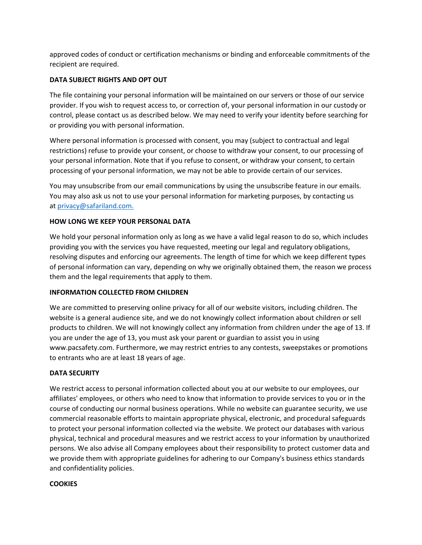approved codes of conduct or certification mechanisms or binding and enforceable commitments of the recipient are required.

# **DATA SUBJECT RIGHTS AND OPT OUT**

The file containing your personal information will be maintained on our servers or those of our service provider. If you wish to request access to, or correction of, your personal information in our custody or control, please contact us as described below. We may need to verify your identity before searching for or providing you with personal information.

Where personal information is processed with consent, you may (subject to contractual and legal restrictions) refuse to provide your consent, or choose to withdraw your consent, to our processing of your personal information. Note that if you refuse to consent, or withdraw your consent, to certain processing of your personal information, we may not be able to provide certain of our services.

You may unsubscribe from our email communications by using the unsubscribe feature in our emails. You may also ask us not to use your personal information for marketing purposes, by contacting us at [privacy@safariland.com.](mailto:privacy@safariland.com.)

# **HOW LONG WE KEEP YOUR PERSONAL DATA**

We hold your personal information only as long as we have a valid legal reason to do so, which includes providing you with the services you have requested, meeting our legal and regulatory obligations, resolving disputes and enforcing our agreements. The length of time for which we keep different types of personal information can vary, depending on why we originally obtained them, the reason we process them and the legal requirements that apply to them.

#### **INFORMATION COLLECTED FROM CHILDREN**

We are committed to preserving online privacy for all of our website visitors, including children. The website is a general audience site, and we do not knowingly collect information about children or sell products to children. We will not knowingly collect any information from children under the age of 13. If you are under the age of 13, you must ask your parent or guardian to assist you in using www.pacsafety.com. Furthermore, we may restrict entries to any contests, sweepstakes or promotions to entrants who are at least 18 years of age.

#### **DATA SECURITY**

We restrict access to personal information collected about you at our website to our employees, our affiliates' employees, or others who need to know that information to provide services to you or in the course of conducting our normal business operations. While no website can guarantee security, we use commercial reasonable efforts to maintain appropriate physical, electronic, and procedural safeguards to protect your personal information collected via the website. We protect our databases with various physical, technical and procedural measures and we restrict access to your information by unauthorized persons. We also advise all Company employees about their responsibility to protect customer data and we provide them with appropriate guidelines for adhering to our Company's business ethics standards and confidentiality policies.

#### **COOKIES**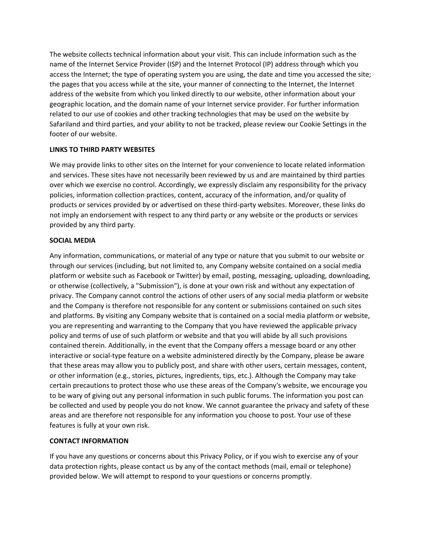The website collects technical information about your visit. This can include information such as the name of the Internet Service Provider (ISP) and the Internet Protocol (IP) address through which you access the Internet; the type of operating system you are using, the date and time you accessed the site; the pages that you access while at the site, your manner of connecting to the Internet, the Internet address of the website from which you linked directly to our website, other information about your geographic location, and the domain name of your Internet service provider. For further information related to our use of cookies and other tracking technologies that may be used on the website by Safariland and third parties, and your ability to not be tracked, please review our Cookie Settings in the footer of our website.

# **LINKS TO THIRD PARTY WEBSITES**

We may provide links to other sites on the Internet for your convenience to locate related information and services. These sites have not necessarily been reviewed by us and are maintained by third parties over which we exercise no control. Accordingly, we expressly disclaim any responsibility for the privacy policies, information collection practices, content, accuracy of the information, and/or quality of products or services provided by or advertised on these third-party websites. Moreover, these links do not imply an endorsement with respect to any third party or any website or the products or services provided by any third party.

#### **SOCIAL MEDIA**

Any information, communications, or material of any type or nature that you submit to our website or through our services (including, but not limited to, any Company website contained on a social media platform or website such as Facebook or Twitter) by email, posting, messaging, uploading, downloading, or otherwise (collectively, a "Submission"), is done at your own risk and without any expectation of privacy. The Company cannot control the actions of other users of any social media platform or website and the Company is therefore not responsible for any content or submissions contained on such sites and platforms. By visiting any Company website that is contained on a social media platform or website, you are representing and warranting to the Company that you have reviewed the applicable privacy policy and terms of use of such platform or website and that you will abide by all such provisions contained therein. Additionally, in the event that the Company offers a message board or any other interactive or social-type feature on a website administered directly by the Company, please be aware that these areas may allow you to publicly post, and share with other users, certain messages, content, or other information (e.g., stories, pictures, ingredients, tips, etc.). Although the Company may take certain precautions to protect those who use these areas of the Company's website, we encourage you to be wary of giving out any personal information in such public forums. The information you post can be collected and used by people you do not know. We cannot guarantee the privacy and safety of these areas and are therefore not responsible for any information you choose to post. Your use of these features is fully at your own risk.

#### **CONTACT INFORMATION**

If you have any questions or concerns about this Privacy Policy, or if you wish to exercise any of your data protection rights, please contact us by any of the contact methods (mail, email or telephone) provided below. We will attempt to respond to your questions or concerns promptly.